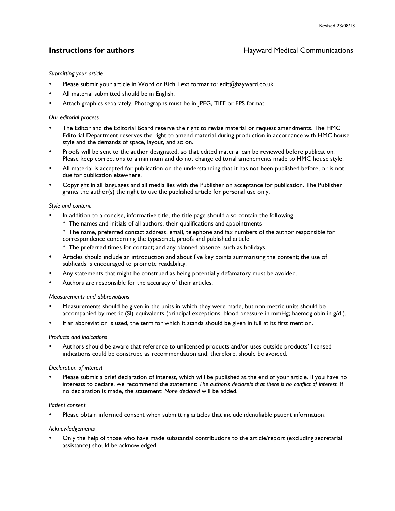# **Instructions for authors Hayward Medical Communications**

# *Submitting your article*

- Please submit your article in Word or Rich Text format to: edit@hayward.co.uk
- All material submitted should be in English.
- Attach graphics separately. Photographs must be in JPEG, TIFF or EPS format.

# *Our editorial process*

- The Editor and the Editorial Board reserve the right to revise material or request amendments. The HMC Editorial Department reserves the right to amend material during production in accordance with HMC house style and the demands of space, layout, and so on.
- Proofs will be sent to the author designated, so that edited material can be reviewed before publication. Please keep corrections to a minimum and do not change editorial amendments made to HMC house style.
- All material is accepted for publication on the understanding that it has not been published before, or is not due for publication elsewhere.
- Copyright in all languages and all media lies with the Publisher on acceptance for publication. The Publisher grants the author(s) the right to use the published article for personal use only.

# *Style and content*

- In addition to a concise, informative title, the title page should also contain the following:
	- \* The names and initials of all authors, their qualifications and appointments
	- \* The name, preferred contact address, email, telephone and fax numbers of the author responsible for correspondence concerning the typescript, proofs and published article
	- \* The preferred times for contact; and any planned absence, such as holidays.
- Articles should include an introduction and about five key points summarising the content; the use of subheads is encouraged to promote readability.
- Any statements that might be construed as being potentially defamatory must be avoided.
- Authors are responsible for the accuracy of their articles.

#### *Measurements and abbreviations*

- Measurements should be given in the units in which they were made, but non-metric units should be accompanied by metric (SI) equivalents (principal exceptions: blood pressure in mmHg; haemoglobin in g/dl).
- If an abbreviation is used, the term for which it stands should be given in full at its first mention.

#### *Products and indications*

• Authors should be aware that reference to unlicensed products and/or uses outside products' licensed indications could be construed as recommendation and, therefore, should be avoided.

#### *Declaration of interest*

Please submit a brief declaration of interest, which will be published at the end of your article. If you have no interests to declare, we recommend the statement: *The author/s declare/s that there is no conflict of interest.* If no declaration is made, the statement: *None declared* will be added.

### *Patient consent*

• Please obtain informed consent when submitting articles that include identifiable patient information.

#### *Acknowledgements*

• Only the help of those who have made substantial contributions to the article/report (excluding secretarial assistance) should be acknowledged.